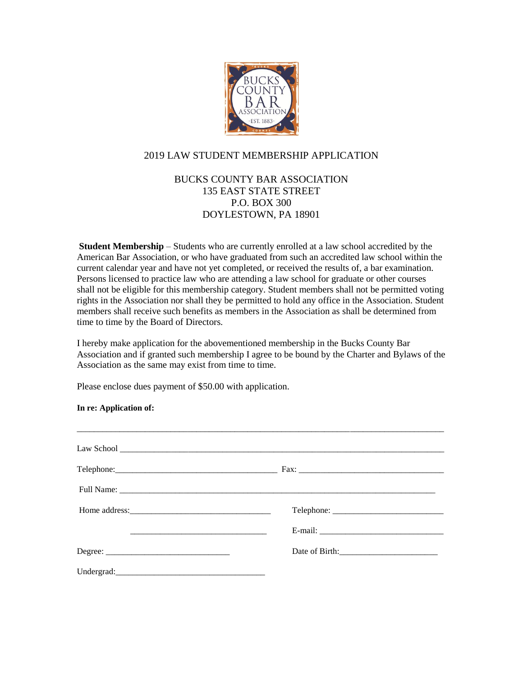

## 2019 LAW STUDENT MEMBERSHIP APPLICATION

## BUCKS COUNTY BAR ASSOCIATION 135 EAST STATE STREET P.O. BOX 300 DOYLESTOWN, PA 18901

**Student Membership** – Students who are currently enrolled at a law school accredited by the American Bar Association, or who have graduated from such an accredited law school within the current calendar year and have not yet completed, or received the results of, a bar examination. Persons licensed to practice law who are attending a law school for graduate or other courses shall not be eligible for this membership category. Student members shall not be permitted voting rights in the Association nor shall they be permitted to hold any office in the Association. Student members shall receive such benefits as members in the Association as shall be determined from time to time by the Board of Directors.

I hereby make application for the abovementioned membership in the Bucks County Bar Association and if granted such membership I agree to be bound by the Charter and Bylaws of the Association as the same may exist from time to time.

Please enclose dues payment of \$50.00 with application.

## **In re: Application of:**

| Home address: |  |
|---------------|--|
|               |  |
|               |  |
|               |  |